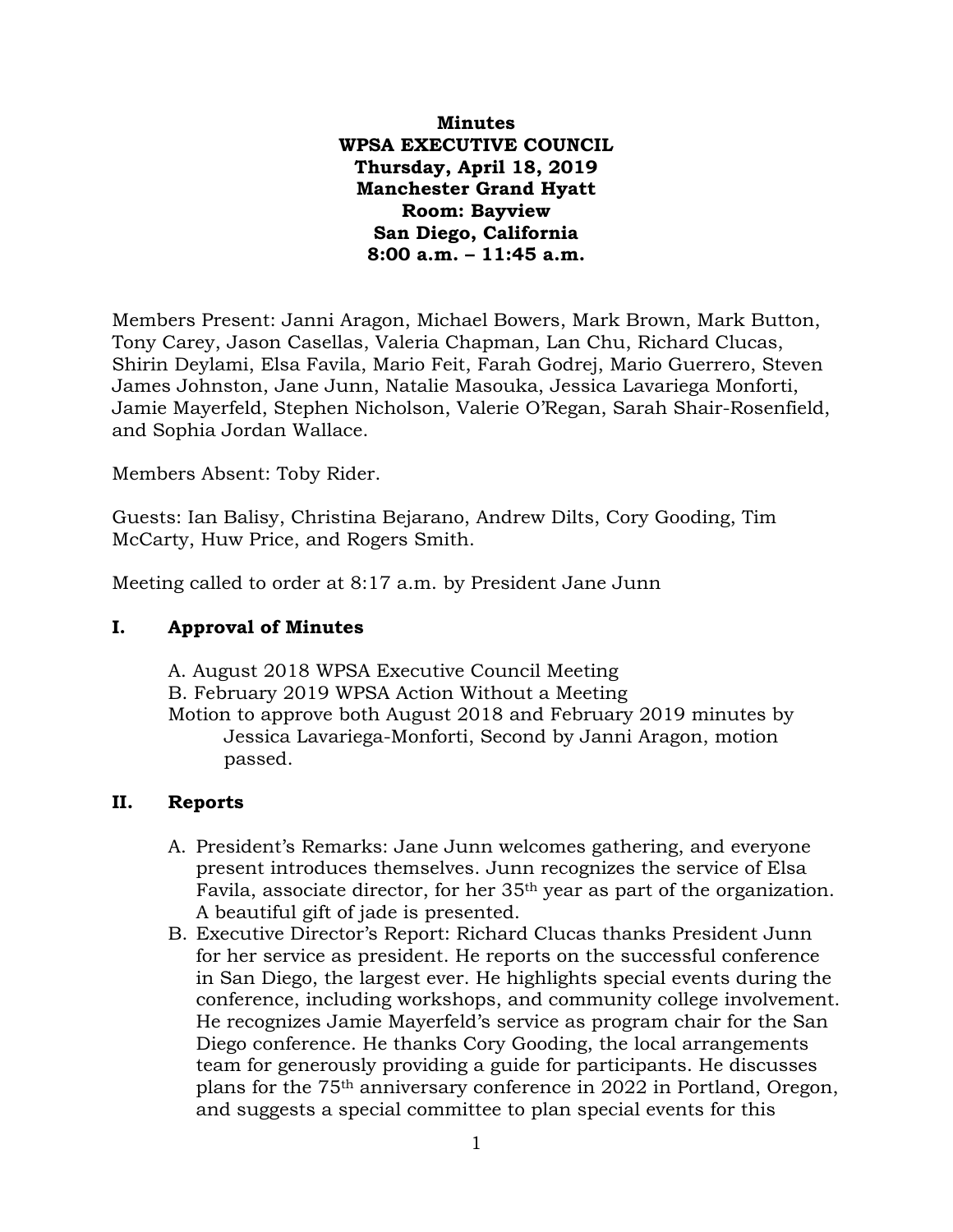**Minutes WPSA EXECUTIVE COUNCIL Thursday, April 18, 2019 Manchester Grand Hyatt Room: Bayview San Diego, California 8:00 a.m. – 11:45 a.m.**

Members Present: Janni Aragon, Michael Bowers, Mark Brown, Mark Button, Tony Carey, Jason Casellas, Valeria Chapman, Lan Chu, Richard Clucas, Shirin Deylami, Elsa Favila, Mario Feit, Farah Godrej, Mario Guerrero, Steven James Johnston, Jane Junn, Natalie Masouka, Jessica Lavariega Monforti, Jamie Mayerfeld, Stephen Nicholson, Valerie O'Regan, Sarah Shair-Rosenfield, and Sophia Jordan Wallace.

Members Absent: Toby Rider.

Guests: Ian Balisy, Christina Bejarano, Andrew Dilts, Cory Gooding, Tim McCarty, Huw Price, and Rogers Smith.

Meeting called to order at 8:17 a.m. by President Jane Junn

## **I. Approval of Minutes**

A. August 2018 WPSA Executive Council Meeting B. February 2019 WPSA Action Without a Meeting Motion to approve both August 2018 and February 2019 minutes by Jessica Lavariega-Monforti, Second by Janni Aragon, motion passed.

## **II. Reports**

- A. President's Remarks: Jane Junn welcomes gathering, and everyone present introduces themselves. Junn recognizes the service of Elsa Favila, associate director, for her 35th year as part of the organization. A beautiful gift of jade is presented.
- B. Executive Director's Report: Richard Clucas thanks President Junn for her service as president. He reports on the successful conference in San Diego, the largest ever. He highlights special events during the conference, including workshops, and community college involvement. He recognizes Jamie Mayerfeld's service as program chair for the San Diego conference. He thanks Cory Gooding, the local arrangements team for generously providing a guide for participants. He discusses plans for the 75th anniversary conference in 2022 in Portland, Oregon, and suggests a special committee to plan special events for this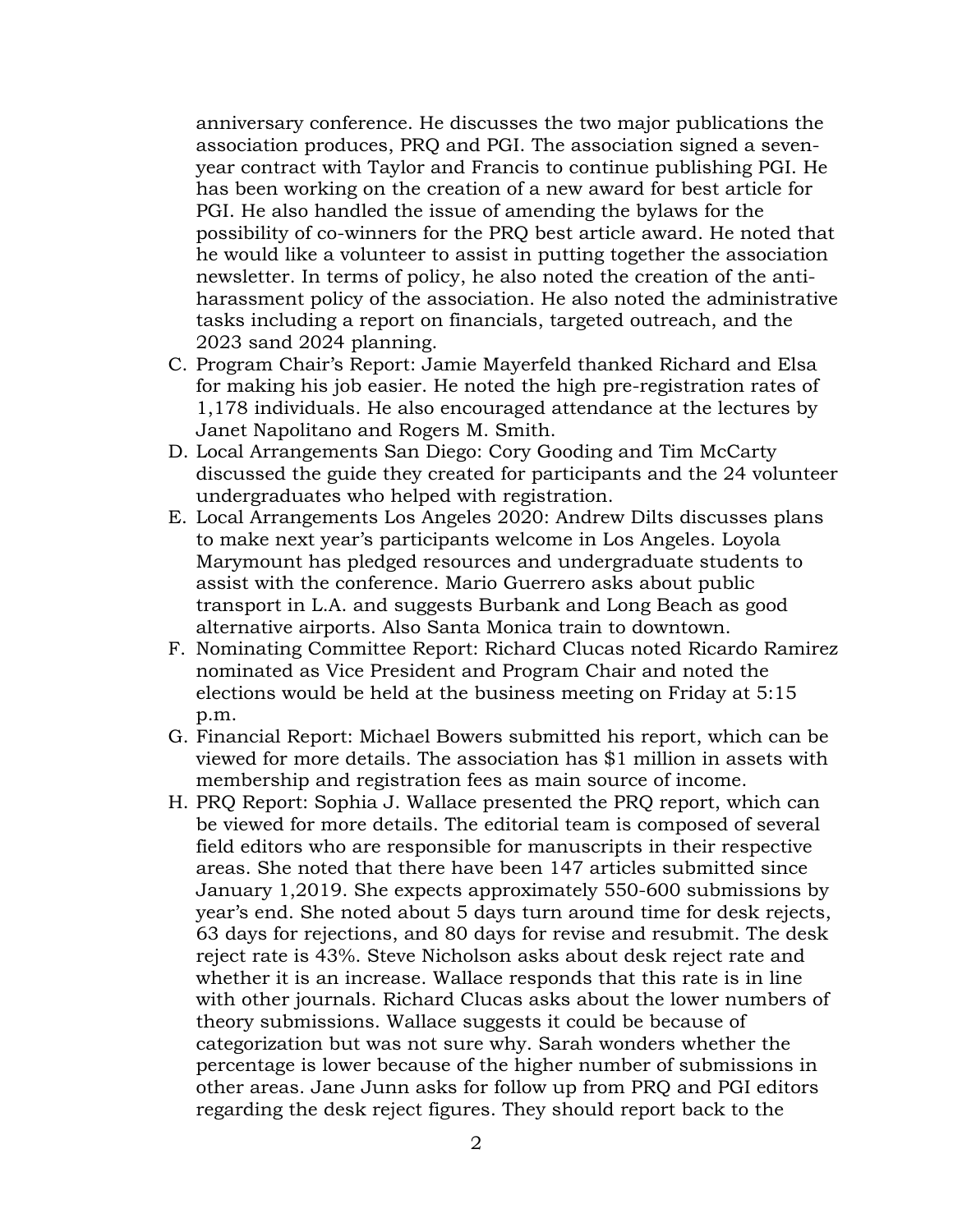anniversary conference. He discusses the two major publications the association produces, PRQ and PGI. The association signed a sevenyear contract with Taylor and Francis to continue publishing PGI. He has been working on the creation of a new award for best article for PGI. He also handled the issue of amending the bylaws for the possibility of co-winners for the PRQ best article award. He noted that he would like a volunteer to assist in putting together the association newsletter. In terms of policy, he also noted the creation of the antiharassment policy of the association. He also noted the administrative tasks including a report on financials, targeted outreach, and the 2023 sand 2024 planning.

- C. Program Chair's Report: Jamie Mayerfeld thanked Richard and Elsa for making his job easier. He noted the high pre-registration rates of 1,178 individuals. He also encouraged attendance at the lectures by Janet Napolitano and Rogers M. Smith.
- D. Local Arrangements San Diego: Cory Gooding and Tim McCarty discussed the guide they created for participants and the 24 volunteer undergraduates who helped with registration.
- E. Local Arrangements Los Angeles 2020: Andrew Dilts discusses plans to make next year's participants welcome in Los Angeles. Loyola Marymount has pledged resources and undergraduate students to assist with the conference. Mario Guerrero asks about public transport in L.A. and suggests Burbank and Long Beach as good alternative airports. Also Santa Monica train to downtown.
- F. Nominating Committee Report: Richard Clucas noted Ricardo Ramirez nominated as Vice President and Program Chair and noted the elections would be held at the business meeting on Friday at 5:15 p.m.
- G. Financial Report: Michael Bowers submitted his report, which can be viewed for more details. The association has \$1 million in assets with membership and registration fees as main source of income.
- H. PRQ Report: Sophia J. Wallace presented the PRQ report, which can be viewed for more details. The editorial team is composed of several field editors who are responsible for manuscripts in their respective areas. She noted that there have been 147 articles submitted since January 1,2019. She expects approximately 550-600 submissions by year's end. She noted about 5 days turn around time for desk rejects, 63 days for rejections, and 80 days for revise and resubmit. The desk reject rate is 43%. Steve Nicholson asks about desk reject rate and whether it is an increase. Wallace responds that this rate is in line with other journals. Richard Clucas asks about the lower numbers of theory submissions. Wallace suggests it could be because of categorization but was not sure why. Sarah wonders whether the percentage is lower because of the higher number of submissions in other areas. Jane Junn asks for follow up from PRQ and PGI editors regarding the desk reject figures. They should report back to the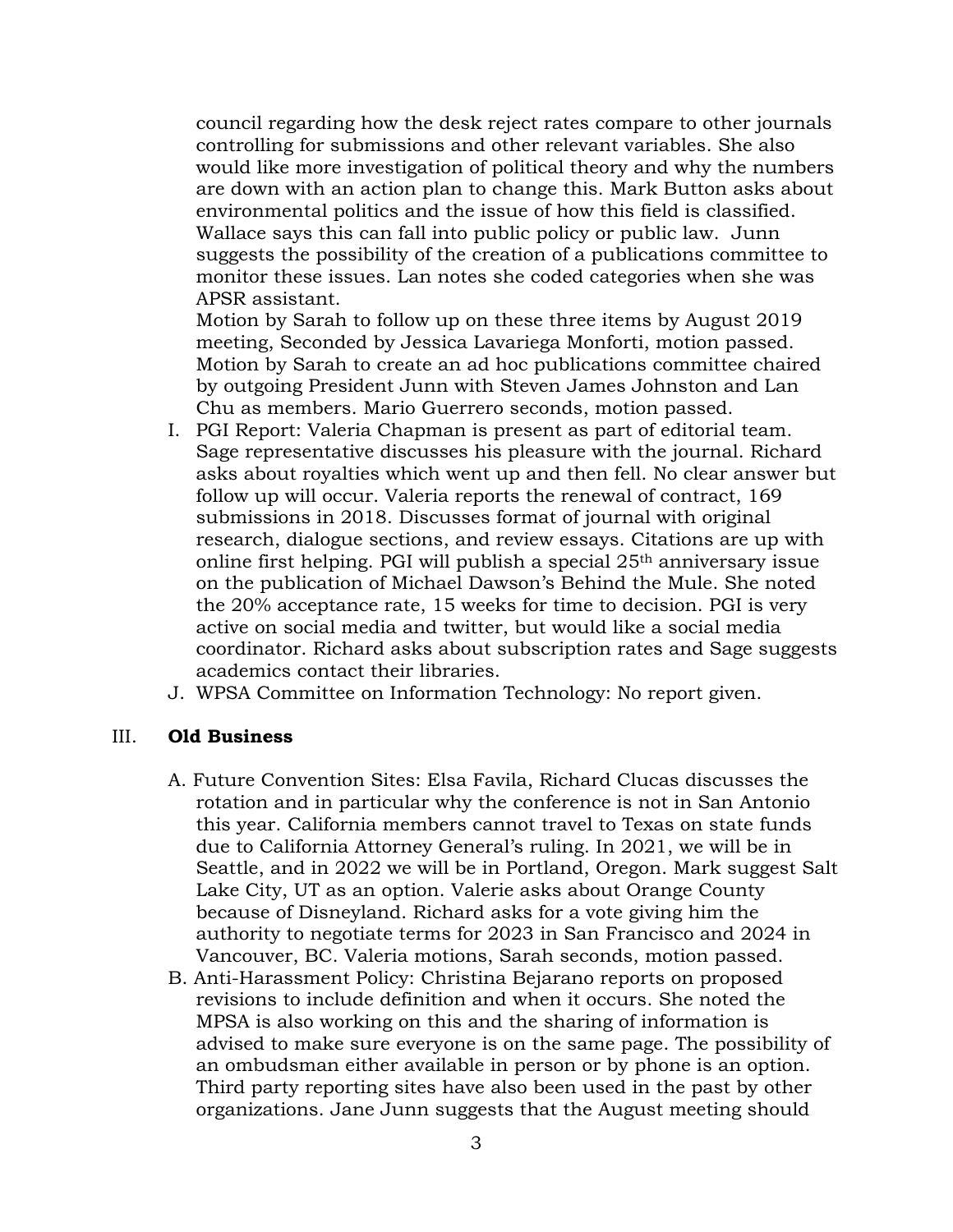council regarding how the desk reject rates compare to other journals controlling for submissions and other relevant variables. She also would like more investigation of political theory and why the numbers are down with an action plan to change this. Mark Button asks about environmental politics and the issue of how this field is classified. Wallace says this can fall into public policy or public law. Junn suggests the possibility of the creation of a publications committee to monitor these issues. Lan notes she coded categories when she was APSR assistant.

Motion by Sarah to follow up on these three items by August 2019 meeting, Seconded by Jessica Lavariega Monforti, motion passed. Motion by Sarah to create an ad hoc publications committee chaired by outgoing President Junn with Steven James Johnston and Lan Chu as members. Mario Guerrero seconds, motion passed.

- I. PGI Report: Valeria Chapman is present as part of editorial team. Sage representative discusses his pleasure with the journal. Richard asks about royalties which went up and then fell. No clear answer but follow up will occur. Valeria reports the renewal of contract, 169 submissions in 2018. Discusses format of journal with original research, dialogue sections, and review essays. Citations are up with online first helping. PGI will publish a special  $25<sup>th</sup>$  anniversary issue on the publication of Michael Dawson's Behind the Mule. She noted the 20% acceptance rate, 15 weeks for time to decision. PGI is very active on social media and twitter, but would like a social media coordinator. Richard asks about subscription rates and Sage suggests academics contact their libraries.
- J. WPSA Committee on Information Technology: No report given.

## III. **Old Business**

- A. Future Convention Sites: Elsa Favila, Richard Clucas discusses the rotation and in particular why the conference is not in San Antonio this year. California members cannot travel to Texas on state funds due to California Attorney General's ruling. In 2021, we will be in Seattle, and in 2022 we will be in Portland, Oregon. Mark suggest Salt Lake City, UT as an option. Valerie asks about Orange County because of Disneyland. Richard asks for a vote giving him the authority to negotiate terms for 2023 in San Francisco and 2024 in Vancouver, BC. Valeria motions, Sarah seconds, motion passed.
- B. Anti-Harassment Policy: Christina Bejarano reports on proposed revisions to include definition and when it occurs. She noted the MPSA is also working on this and the sharing of information is advised to make sure everyone is on the same page. The possibility of an ombudsman either available in person or by phone is an option. Third party reporting sites have also been used in the past by other organizations. Jane Junn suggests that the August meeting should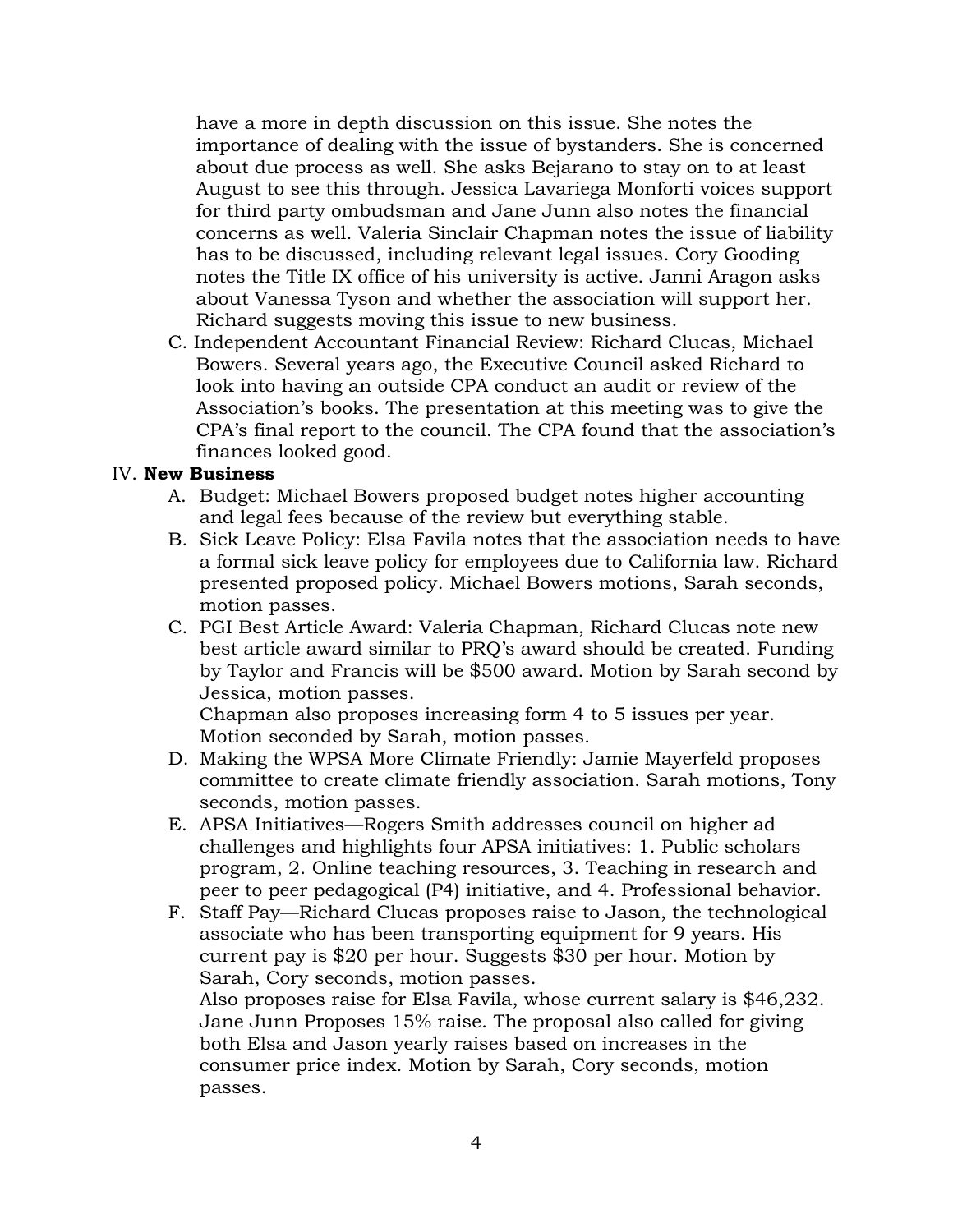have a more in depth discussion on this issue. She notes the importance of dealing with the issue of bystanders. She is concerned about due process as well. She asks Bejarano to stay on to at least August to see this through. Jessica Lavariega Monforti voices support for third party ombudsman and Jane Junn also notes the financial concerns as well. Valeria Sinclair Chapman notes the issue of liability has to be discussed, including relevant legal issues. Cory Gooding notes the Title IX office of his university is active. Janni Aragon asks about Vanessa Tyson and whether the association will support her. Richard suggests moving this issue to new business.

C. Independent Accountant Financial Review: Richard Clucas, Michael Bowers. Several years ago, the Executive Council asked Richard to look into having an outside CPA conduct an audit or review of the Association's books. The presentation at this meeting was to give the CPA's final report to the council. The CPA found that the association's finances looked good.

## IV. **New Business**

- A. Budget: Michael Bowers proposed budget notes higher accounting and legal fees because of the review but everything stable.
- B. Sick Leave Policy: Elsa Favila notes that the association needs to have a formal sick leave policy for employees due to California law. Richard presented proposed policy. Michael Bowers motions, Sarah seconds, motion passes.
- C. PGI Best Article Award: Valeria Chapman, Richard Clucas note new best article award similar to PRQ's award should be created. Funding by Taylor and Francis will be \$500 award. Motion by Sarah second by Jessica, motion passes.

Chapman also proposes increasing form 4 to 5 issues per year. Motion seconded by Sarah, motion passes.

- D. Making the WPSA More Climate Friendly: Jamie Mayerfeld proposes committee to create climate friendly association. Sarah motions, Tony seconds, motion passes.
- E. APSA Initiatives—Rogers Smith addresses council on higher ad challenges and highlights four APSA initiatives: 1. Public scholars program, 2. Online teaching resources, 3. Teaching in research and peer to peer pedagogical (P4) initiative, and 4. Professional behavior.
- F. Staff Pay—Richard Clucas proposes raise to Jason, the technological associate who has been transporting equipment for 9 years. His current pay is \$20 per hour. Suggests \$30 per hour. Motion by Sarah, Cory seconds, motion passes.

Also proposes raise for Elsa Favila, whose current salary is \$46,232. Jane Junn Proposes 15% raise. The proposal also called for giving both Elsa and Jason yearly raises based on increases in the consumer price index. Motion by Sarah, Cory seconds, motion passes.